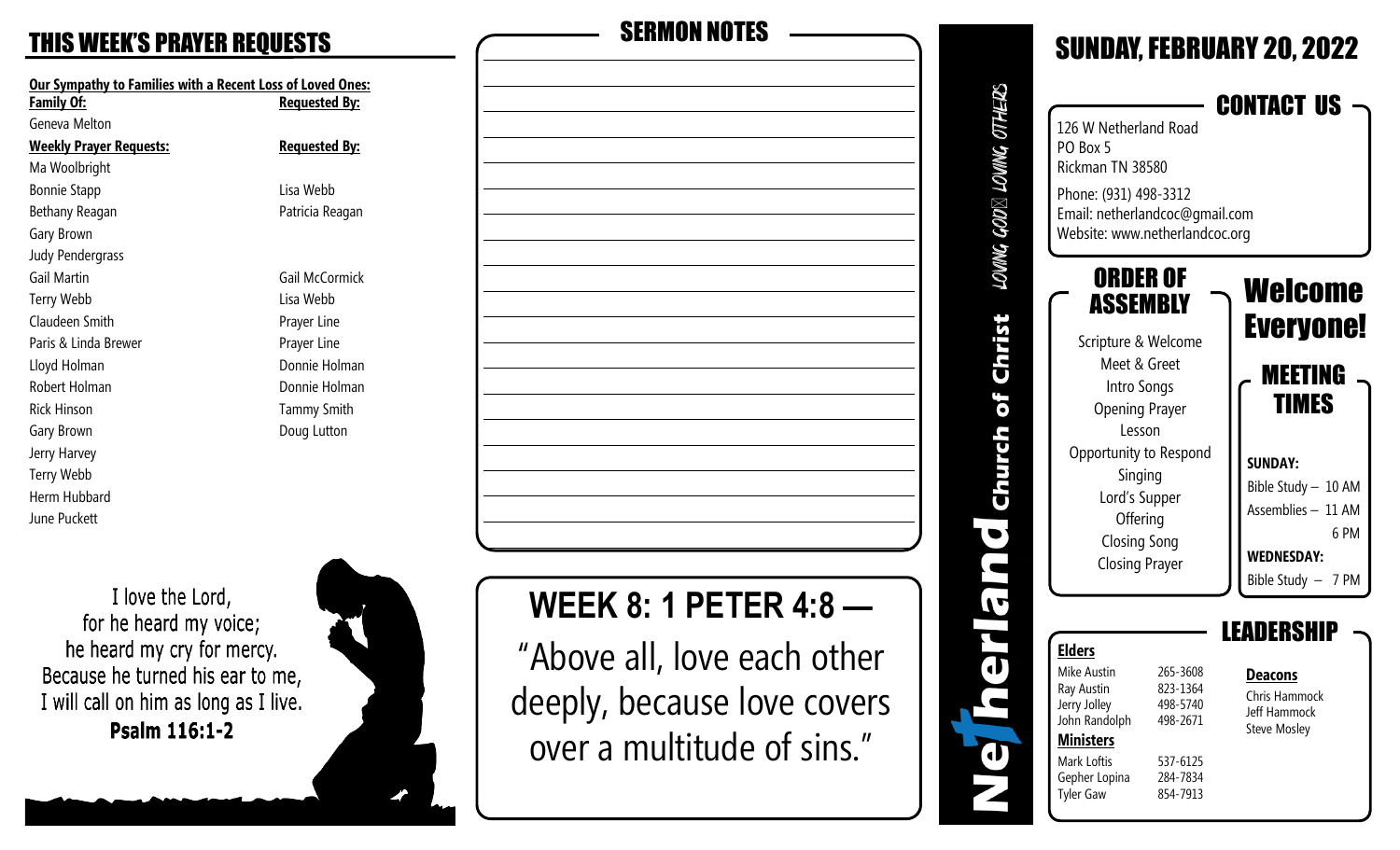**Our Sympathy to Families with a Recent Loss of Loved Ones:** Geneva Melton **Weekly Prayer Requests: Requested By:** Ma Woolbright Bonnie Stapp Lisa Webb Bethany Reagan **Patricia Reagan** Gary Brown Judy Pendergrass Gail Martin Gail McCormick Terry Webb Lisa Webb Claudeen Smith **Prayer Line** Paris & Linda Brewer **Prayer Line** Lloyd Holman Donnie Holman Robert Holman **Donnie Holman** Rick Hinson **Tammy Smith** Gary Brown **Doug Lutton** Jerry Harvey Terry Webb Herm Hubbard June Puckett

**Requested By:** 

I love the Lord, for he heard my voice; he heard my cry for mercy. Because he turned his ear to me, I will call on him as long as I live. Psalm 116:1-2





# **WEEK 8: 1 PETER 4:8 —**

"Above all, love each other deeply, because love covers over a multitude of sins."

| 126 W Netherland Road<br>PO Box 5<br>Rickman TN 38580<br>Phone: (931) 498-3312<br>Email: netherlandcoc@gmail.com<br>Website: www.netherlandcoc.org                                                                              |                                                                                  | <b>CONTACT US</b>                                                                                                                                                        |
|---------------------------------------------------------------------------------------------------------------------------------------------------------------------------------------------------------------------------------|----------------------------------------------------------------------------------|--------------------------------------------------------------------------------------------------------------------------------------------------------------------------|
| ORDER OF<br>ASSEMBLY<br>Scripture & Welcome<br>Meet & Greet<br>Intro Songs<br><b>Opening Prayer</b><br>Lesson<br>Opportunity to Respond<br>Singing<br>Lord's Supper<br>Offering<br><b>Closing Song</b><br><b>Closing Prayer</b> |                                                                                  | Welcome<br><b>Everyone!</b><br>MEETING<br><b>TIMES</b><br><b>SUNDAY:</b><br>Bible Study - 10 AM<br>Assemblies - 11 AM<br>6 PM<br><b>WEDNESDAY:</b><br>Bible Study - 7 PM |
| Elders<br>Mike Austin<br>Ray Austin<br>Jerry Jolley<br>John Randolph<br><b>Ministers</b><br>Mark Loftis<br>Gepher Lopina<br><b>Tyler Gaw</b>                                                                                    | 265-3608<br>823-1364<br>498-5740<br>498-2671<br>537-6125<br>284-7834<br>854-7913 | EANERSI<br><u>Deacons</u><br>Chris Hammock<br><b>Jeff Hammock</b><br><b>Steve Mosley</b>                                                                                 |

d

SUNDAY FERRUARY 20, 2022